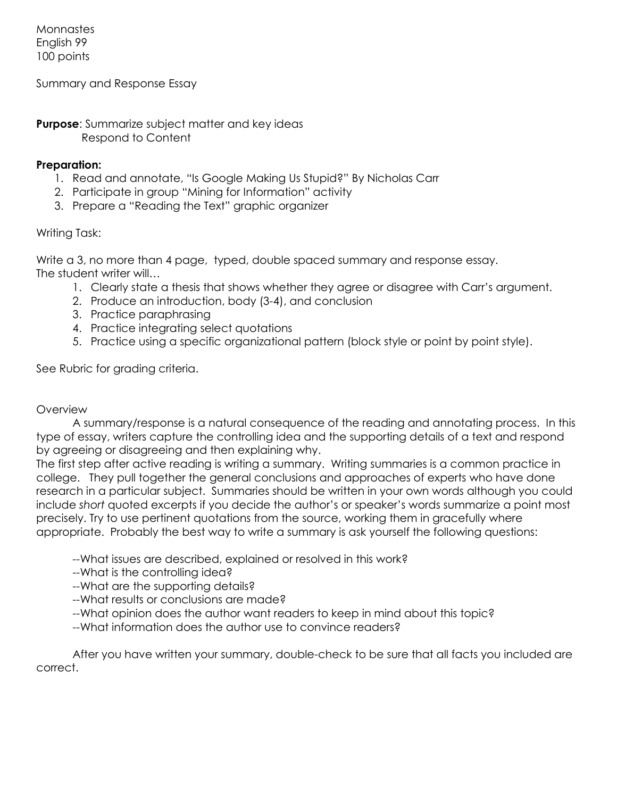Monnastes English 99 100 points

Summary and Response Essay

**Purpose:** Summarize subject matter and key ideas Respond to Content

### **Preparation:**

- 1. Read and annotate, "Is Google Making Us Stupid?" By Nicholas Carr
- 2. Participate in group "Mining for Information" activity
- 3. Prepare a "Reading the Text" graphic organizer

### Writing Task:

Write a 3, no more than 4 page, typed, double spaced summary and response essay. The student writer will…

- 1. Clearly state a thesis that shows whether they agree or disagree with Carr's argument.
- 2. Produce an introduction, body (3-4), and conclusion
- 3. Practice paraphrasing
- 4. Practice integrating select quotations
- 5. Practice using a specific organizational pattern (block style or point by point style).

See Rubric for grading criteria.

#### **Overview**

A summary/response is a natural consequence of the reading and annotating process. In this type of essay, writers capture the controlling idea and the supporting details of a text and respond by agreeing or disagreeing and then explaining why.

The first step after active reading is writing a summary. Writing summaries is a common practice in college. They pull together the general conclusions and approaches of experts who have done research in a particular subject. Summaries should be written in your own words although you could include *short* quoted excerpts if you decide the author's or speaker's words summarize a point most precisely. Try to use pertinent quotations from the source, working them in gracefully where appropriate. Probably the best way to write a summary is ask yourself the following questions:

- --What issues are described, explained or resolved in this work?
- --What is the controlling idea?
- --What are the supporting details?
- --What results or conclusions are made?
- --What opinion does the author want readers to keep in mind about this topic?
- --What information does the author use to convince readers?

After you have written your summary, double-check to be sure that all facts you included are correct.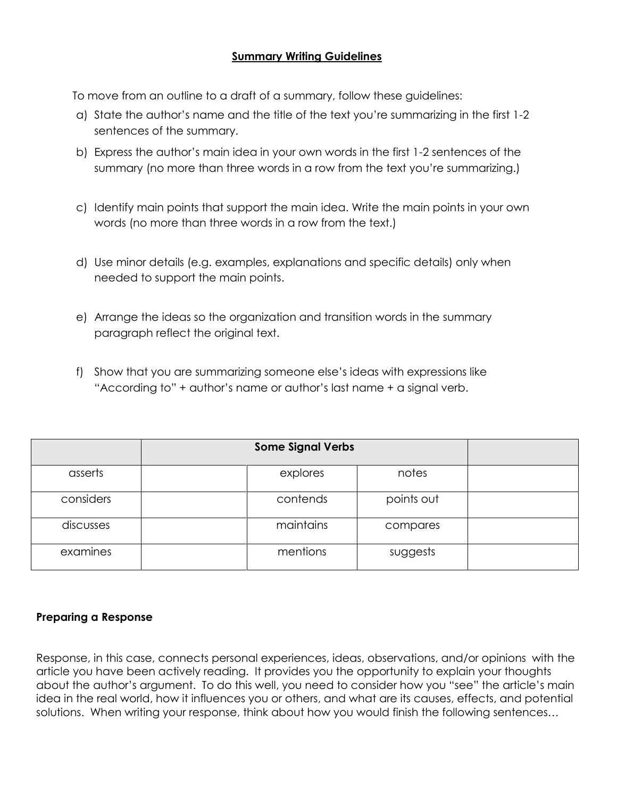# **Summary Writing Guidelines**

To move from an outline to a draft of a summary, follow these guidelines:

- a) State the author's name and the title of the text you're summarizing in the first 1-2 sentences of the summary.
- b) Express the author's main idea in your own words in the first 1-2 sentences of the summary (no more than three words in a row from the text you're summarizing.)
- c) Identify main points that support the main idea. Write the main points in your own words (no more than three words in a row from the text.)
- d) Use minor details (e.g. examples, explanations and specific details) only when needed to support the main points.
- e) Arrange the ideas so the organization and transition words in the summary paragraph reflect the original text.
- f) Show that you are summarizing someone else's ideas with expressions like "According to" + author's name or author's last name + a signal verb.

|           | <b>Some Signal Verbs</b> |            |  |
|-----------|--------------------------|------------|--|
| asserts   | explores                 | notes      |  |
| considers | contends                 | points out |  |
| discusses | maintains                | compares   |  |
| examines  | mentions                 | suggests   |  |

# **Preparing a Response**

Response, in this case, connects personal experiences, ideas, observations, and/or opinions with the article you have been actively reading. It provides you the opportunity to explain your thoughts about the author's argument. To do this well, you need to consider how you "see" the article's main idea in the real world, how it influences you or others, and what are its causes, effects, and potential solutions. When writing your response, think about how you would finish the following sentences…